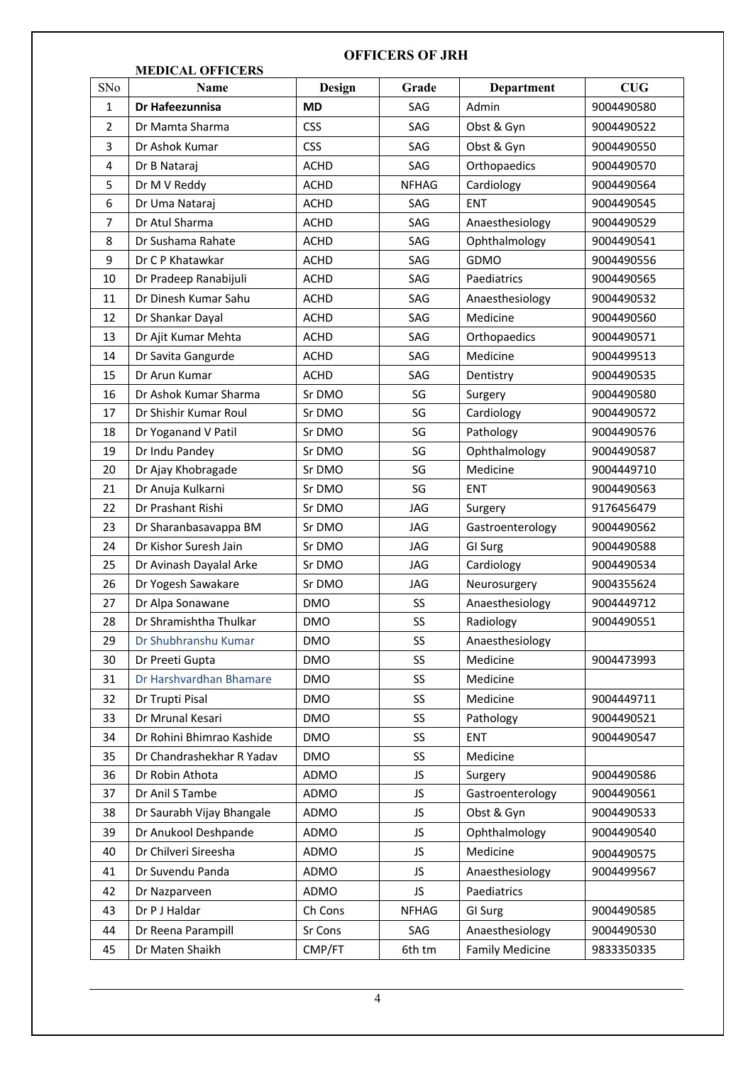## **MEDICAL OFFICERS** SNo **Name Design Grade Department CUG** 1 **Dr Hafeezunnisa MD** SAG Admin 9004490580 2 Dr Mamta Sharma CSS SAG Obst & Gyn 9004490522 3 Dr Ashok Kumar CSS CSS AG Obst & Gyn 9004490550 4 | Dr B Nataraj | ACHD | SAG | Orthopaedics | 9004490570 5 | Dr M V Reddy | ACHD | NFHAG | Cardiology | 9004490564 6 Dr Uma Nataraj ACHD SAG ENT 9004490545 7 Dr Atul Sharma ACHD SAG Anaesthesiology 9004490529 8 | Dr Sushama Rahate | ACHD | SAG | Ophthalmology | 9004490541 9 Dr C P Khatawkar ACHD SAG GDMO 9004490556 10 Dr Pradeep Ranabijuli ACHD SAG Paediatrics 9004490565 11 | Dr Dinesh Kumar Sahu | ACHD | SAG | Anaesthesiology | 9004490532 12 Dr Shankar Dayal ACHD SAG Medicine 9004490560 13 Dr Ajit Kumar Mehta | ACHD | SAG | Orthopaedics | 9004490571 14 Dr Savita Gangurde | ACHD | SAG | Medicine | 9004499513 15 Dr Arun Kumar ACHD SAG Dentistry 9004490535 16 Dr Ashok Kumar Sharma Sr DMO SG Surgery 9004490580 17 | Dr Shishir Kumar Roul | Sr DMO | SG | Cardiology | 9004490572 18 Dr Yoganand V Patil Sr DMO SG Pathology 9004490576 19 Dr Indu Pandey Sr DMO SG Ophthalmology 9004490587 20 | Dr Ajay Khobragade | Sr DMO | SG | Medicine | 9004449710 21 Dr Anuja Kulkarni Sr DMO SG ENT 9004490563 22 Dr Prashant Rishi Sr DMO JAG Surgery 9176456479 23 Dr Sharanbasavappa BM Sr DMO JAG Gastroenterology 9004490562 24 Dr Kishor Suresh Jain Sr DMO JAG GI Surg 9004490588 25 Dr Avinash Dayalal Arke Sr DMO JAG Cardiology 19004490534 26 Dr Yogesh Sawakare Sr DMO JAG Neurosurgery 9004355624 27 Dr Alpa Sonawane DMO SS Anaesthesiology 9004449712 28 Dr Shramishtha Thulkar | DMO SS Radiology | 9004490551 29 Dr Shubhranshu Kumar | DMO | SS | Anaesthesiology 30 Dr Preeti Gupta DMO SS Medicine 9004473993 31 Dr Harshvardhan Bhamare DMO SS Medicine 32 Dr Trupti Pisal 2004 | DMO | SS | Medicine | 9004449711 33 Dr Mrunal Kesari DMO SS Pathology 9004490521 34 Dr Rohini Bhimrao Kashide DMO | SS | ENT | 9004490547 35 Dr Chandrashekhar R Yadav DMO SS Medicine 36 Dr Robin Athota ADMO JS Surgery 9004490586 37 Dr Anil S Tambe ADMO JS Gastroenterology 9004490561 38 Dr Saurabh Vijay Bhangale ADMO JS Obst & Gyn 9004490533 39 Dr Anukool Deshpande | ADMO | JS | Ophthalmology | 9004490540 40 Dr Chilveri Sireesha | ADMO | JS | Medicine | 9004490575 41 Dr Suvendu Panda ADMO JS Anaesthesiology 9004499567 42 Dr Nazparveen ADMO JS Paediatrics 43 Dr P J Haldar Ch Cons NFHAG GI Surg 9004490585 44 Dr Reena Parampill Sr Cons SAG Anaesthesiology 9004490530 45 Dr Maten Shaikh CMP/FT 6th tm Family Medicine 9833350335

## **OFFICERS OF JRH**